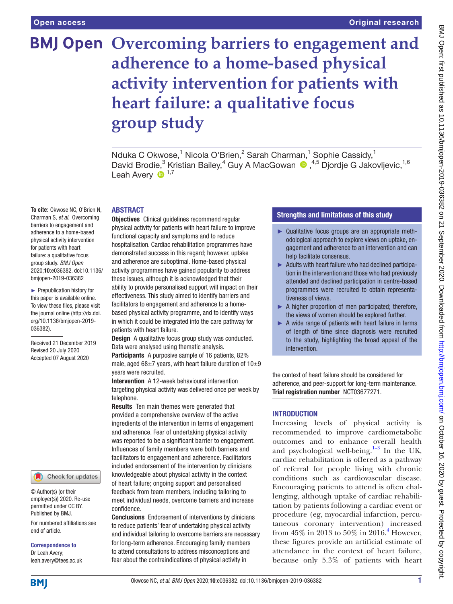# **BMJ Open Overcoming barriers to engagement and adherence to a home-based physical activity intervention for patients with heart failure: a qualitative focus group study**

Nduka C Okwose,<sup>1</sup> Nicola O'Brien,<sup>2</sup> Sarah Charman,<sup>1</sup> Sophie Cassidy,<sup>1</sup> DavidBrodie,<sup>3</sup> Kristian Bailey,<sup>4</sup> Guy A MacGowan <sup>1,4,5</sup> Djordje G Jakovljevic,<sup>1,6</sup> Leah Avery  $\bullet$ <sup>1,7</sup>

#### ABSTRACT

**To cite:** Okwose NC, O'Brien N, Charman S, *et al*. Overcoming barriers to engagement and adherence to a home-based physical activity intervention for patients with heart failure: a qualitative focus group study. *BMJ Open* 2020;10:e036382. doi:10.1136/ bmjopen-2019-036382

► Prepublication history for this paper is available online. To view these files, please visit the journal online (http://dx.doi. org/10.1136/bmjopen-2019- 036382).

Received 21 December 2019 Revised 20 July 2020 Accepted 07 August 2020

#### Check for updates

© Author(s) (or their employer(s)) 2020. Re-use permitted under CC BY. Published by BMJ.

For numbered affiliations see end of article.

Correspondence to Dr Leah Avery; leah.avery@tees.ac.uk

Objectives Clinical guidelines recommend regular physical activity for patients with heart failure to improve functional capacity and symptoms and to reduce hospitalisation. Cardiac rehabilitation programmes have demonstrated success in this regard; however, uptake and adherence are suboptimal. Home-based physical activity programmes have gained popularity to address these issues, although it is acknowledged that their ability to provide personalised support will impact on their effectiveness. This study aimed to identify barriers and facilitators to engagement and adherence to a homebased physical activity programme, and to identify ways in which it could be integrated into the care pathway for patients with heart failure.

Design A qualitative focus group study was conducted. Data were analysed using thematic analysis.

Participants A purposive sample of 16 patients, 82% male, aged  $68\pm7$  years, with heart failure duration of  $10\pm9$ years were recruited.

Intervention A 12-week behavioural intervention targeting physical activity was delivered once per week by telephone.

Results Ten main themes were generated that provided a comprehensive overview of the active ingredients of the intervention in terms of engagement and adherence. Fear of undertaking physical activity was reported to be a significant barrier to engagement. Influences of family members were both barriers and facilitators to engagement and adherence. Facilitators included endorsement of the intervention by clinicians knowledgeable about physical activity in the context of heart failure; ongoing support and personalised feedback from team members, including tailoring to meet individual needs, overcome barriers and increase confidence.

Conclusions Endorsement of interventions by clinicians to reduce patients' fear of undertaking physical activity and individual tailoring to overcome barriers are necessary for long-term adherence. Encouraging family members to attend consultations to address misconceptions and fear about the contraindications of physical activity in

## Strengths and limitations of this study

- ► Qualitative focus groups are an appropriate methodological approach to explore views on uptake, engagement and adherence to an intervention and can help facilitate consensus.
- ► Adults with heart failure who had declined participation in the intervention and those who had previously attended and declined participation in centre-based programmes were recruited to obtain representativeness of views.
- ► A higher proportion of men participated; therefore, the views of women should be explored further.
- $\blacktriangleright$  A wide range of patients with heart failure in terms of length of time since diagnosis were recruited to the study, highlighting the broad appeal of the intervention.

the context of heart failure should be considered for adherence, and peer-support for long-term maintenance. Trial registration number [NCT03677271.](NCT03677271)

#### INTRODUCTION

Increasing levels of physical activity is recommended to improve cardiometabolic outcomes and to enhance overall health and psychological well-being. $1-3$  In the UK, cardiac rehabilitation is offered as a pathway of referral for people living with chronic conditions such as cardiovascular disease. Encouraging patients to attend is often challenging, although uptake of cardiac rehabilitation by patients following a cardiac event or procedure (eg, myocardial infarction, percutaneous coronary intervention) increased from  $45\%$  $45\%$  in 2013 to  $50\%$  in 2016.<sup>4</sup> However, these figures provide an artificial estimate of attendance in the context of heart failure, because only 5.3% of patients with heart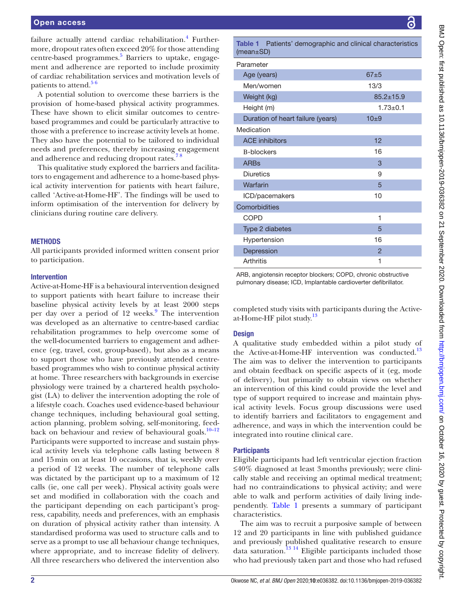failure actually attend cardiac rehabilitation.<sup>4</sup> Furthermore, dropout rates often exceed 20% for those attending centre-based programmes.<sup>[5](#page-9-2)</sup> Barriers to uptake, engagement and adherence are reported to include proximity of cardiac rehabilitation services and motivation levels of patients to attend.<sup>56</sup>

A potential solution to overcome these barriers is the provision of home-based physical activity programmes. These have shown to elicit similar outcomes to centrebased programmes and could be particularly attractive to those with a preference to increase activity levels at home. They also have the potential to be tailored to individual needs and preferences, thereby increasing engagement and adherence and reducing dropout rates.<sup>78</sup>

This qualitative study explored the barriers and facilitators to engagement and adherence to a home-based physical activity intervention for patients with heart failure, called 'Active-at-Home-HF'. The findings will be used to inform optimisation of the intervention for delivery by clinicians during routine care delivery.

#### **METHODS**

All participants provided informed written consent prior to participation.

#### Intervention

Active-at-Home-HF is a behavioural intervention designed to support patients with heart failure to increase their baseline physical activity levels by at least 2000 steps per day over a period of 12 weeks.<sup>[9](#page-9-4)</sup> The intervention was developed as an alternative to centre-based cardiac rehabilitation programmes to help overcome some of the well-documented barriers to engagement and adherence (eg, travel, cost, group-based), but also as a means to support those who have previously attended centrebased programmes who wish to continue physical activity at home. Three researchers with backgrounds in exercise physiology were trained by a chartered health psychologist (LA) to deliver the intervention adopting the role of a lifestyle coach. Coaches used evidence-based behaviour change techniques, including behavioural goal setting, action planning, problem solving, self-monitoring, feedback on behaviour and review of behavioural goals.<sup>10–12</sup> Participants were supported to increase and sustain physical activity levels via telephone calls lasting between 8 and 15min on at least 10 occasions, that is, weekly over a period of 12 weeks. The number of telephone calls was dictated by the participant up to a maximum of 12 calls (ie, one call per week). Physical activity goals were set and modified in collaboration with the coach and the participant depending on each participant's progress, capability, needs and preferences, with an emphasis on duration of physical activity rather than intensity. A standardised proforma was used to structure calls and to serve as a prompt to use all behaviour change techniques, where appropriate, and to increase fidelity of delivery. All three researchers who delivered the intervention also

<span id="page-1-0"></span>Table 1 Patients' demographic and clinical characteristics (mean±SD)

| Parameter                         |                 |  |
|-----------------------------------|-----------------|--|
| Age (years)                       | $67+5$          |  |
| Men/women                         | 13/3            |  |
| Weight (kg)                       | $85.2 \pm 15.9$ |  |
| Height (m)                        | $1.73 \pm 0.1$  |  |
| Duration of heart failure (years) | 10±9            |  |
| Medication                        |                 |  |
| <b>ACE</b> inhibitors             | 12              |  |
| <b>B-blockers</b>                 | 16              |  |
| <b>ARBs</b>                       | 3               |  |
| <b>Diuretics</b>                  | 9               |  |
| Warfarin                          | 5               |  |
| ICD/pacemakers                    | 10              |  |
| Comorbidities                     |                 |  |
| COPD                              | 1               |  |
| Type 2 diabetes                   | 5               |  |
| Hypertension                      | 16              |  |
| Depression                        | $\overline{2}$  |  |
| Arthritis                         | 1               |  |

ARB, angiotensin receptor blockers; COPD, chronic obstructive pulmonary disease; ICD, Implantable cardioverter defibrillator.

completed study visits with participants during the Active-at-Home-HF pilot study.<sup>[13](#page-9-6)</sup>

#### **Design**

A qualitative study embedded within a pilot study of the Active-at-Home-HF intervention was conducted.<sup>[13](#page-9-6)</sup> The aim was to deliver the intervention to participants and obtain feedback on specific aspects of it (eg, mode of delivery), but primarily to obtain views on whether an intervention of this kind could provide the level and type of support required to increase and maintain physical activity levels. Focus group discussions were used to identify barriers and facilitators to engagement and adherence, and ways in which the intervention could be integrated into routine clinical care.

## **Participants**

Eligible participants had left ventricular ejection fraction ≤40% diagnosed at least 3months previously; were clinically stable and receiving an optimal medical treatment; had no contraindications to physical activity; and were able to walk and perform activities of daily living independently. [Table](#page-1-0) 1 presents a summary of participant characteristics.

The aim was to recruit a purposive sample of between 12 and 20 participants in line with published guidance and previously published qualitative research to ensure data saturation.<sup>[13 14](#page-9-6)</sup> Eligible participants included those who had previously taken part and those who had refused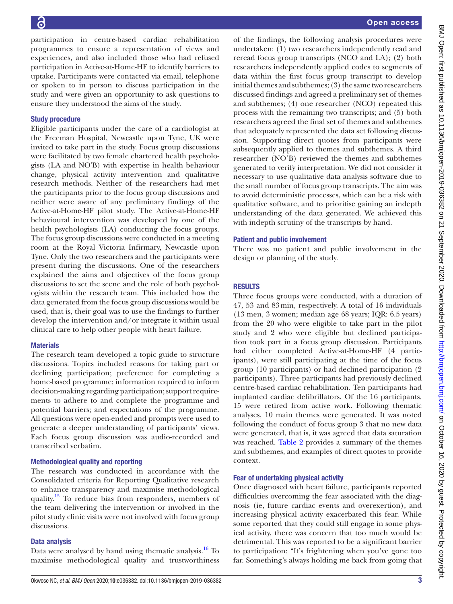Open access

participation in centre-based cardiac rehabilitation programmes to ensure a representation of views and experiences, and also included those who had refused participation in Active-at-Home-HF to identify barriers to uptake. Participants were contacted via email, telephone or spoken to in person to discuss participation in the study and were given an opportunity to ask questions to ensure they understood the aims of the study.

#### Study procedure

Eligible participants under the care of a cardiologist at the Freeman Hospital, Newcastle upon Tyne, UK were invited to take part in the study. Focus group discussions were facilitated by two female chartered health psychologists (LA and NO'B) with expertise in health behaviour change, physical activity intervention and qualitative research methods. Neither of the researchers had met the participants prior to the focus group discussions and neither were aware of any preliminary findings of the Active-at-Home-HF pilot study. The Active-at-Home-HF behavioural intervention was developed by one of the health psychologists (LA) conducting the focus groups. The focus group discussions were conducted in a meeting room at the Royal Victoria Infirmary, Newcastle upon Tyne. Only the two researchers and the participants were present during the discussions. One of the researchers explained the aims and objectives of the focus group discussions to set the scene and the role of both psychologists within the research team. This included how the data generated from the focus group discussions would be used, that is, their goal was to use the findings to further develop the intervention and/or integrate it within usual clinical care to help other people with heart failure.

#### **Materials**

The research team developed a topic guide to structure discussions. Topics included reasons for taking part or declining participation; preference for completing a home-based programme; information required to inform decision-making regarding participation; support requirements to adhere to and complete the programme and potential barriers; and expectations of the programme. All questions were open-ended and prompts were used to generate a deeper understanding of participants' views. Each focus group discussion was audio-recorded and transcribed verbatim.

#### Methodological quality and reporting

The research was conducted in accordance with the Consolidated criteria for Reporting Qualitative research to enhance transparency and maximise methodological quality.<sup>15</sup> To reduce bias from responders, members of the team delivering the intervention or involved in the pilot study clinic visits were not involved with focus group discussions.

## Data analysis

Data were analysed by hand using thematic analysis. $16$  To maximise methodological quality and trustworthiness

of the findings, the following analysis procedures were undertaken: (1) two researchers independently read and reread focus group transcripts (NCO and LA); (2) both researchers independently applied codes to segments of data within the first focus group transcript to develop initial themes and subthemes; (3) the same two researchers discussed findings and agreed a preliminary set of themes and subthemes; (4) one researcher (NCO) repeated this process with the remaining two transcripts; and (5) both researchers agreed the final set of themes and subthemes that adequately represented the data set following discussion. Supporting direct quotes from participants were subsequently applied to themes and subthemes. A third researcher (NO'B) reviewed the themes and subthemes generated to verify interpretation. We did not consider it necessary to use qualitative data analysis software due to the small number of focus group transcripts. The aim was to avoid deterministic processes, which can be a risk with qualitative software, and to prioritise gaining an indepth understanding of the data generated. We achieved this with indepth scrutiny of the transcripts by hand.

#### Patient and public involvement

There was no patient and public involvement in the design or planning of the study.

#### RESULTS

Three focus groups were conducted, with a duration of 47, 53 and 83min, respectively. A total of 16 individuals (13 men, 3 women; median age 68 years; IQR: 6.5 years) from the 20 who were eligible to take part in the pilot study and 2 who were eligible but declined participation took part in a focus group discussion. Participants had either completed Active-at-Home-HF (4 participants), were still participating at the time of the focus group (10 participants) or had declined participation (2 participants). Three participants had previously declined centre-based cardiac rehabilitation. Ten participants had implanted cardiac defibrillators. Of the 16 participants, 15 were retired from active work. Following thematic analyses, 10 main themes were generated. It was noted following the conduct of focus group 3 that no new data were generated, that is, it was agreed that data saturation was reached. [Table](#page-3-0) 2 provides a summary of the themes and subthemes, and examples of direct quotes to provide context.

## Fear of undertaking physical activity

Once diagnosed with heart failure, participants reported difficulties overcoming the fear associated with the diagnosis (ie, future cardiac events and overexertion), and increasing physical activity exacerbated this fear. While some reported that they could still engage in some physical activity, there was concern that too much would be detrimental. This was reported to be a significant barrier to participation: "It's frightening when you've gone too far. Something's always holding me back from going that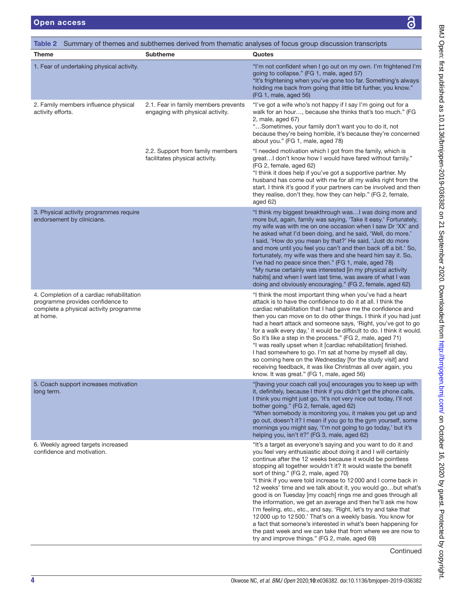BMJ Open: first published as 10.1136/bmjopen-2019-036382 on 21 September 2020. Downloaded from <http://bmjopen.bmj.com/> on October 16, 2020 by guest. Protected by copyright.

BMJ Open: first published as 10.1136/bmjopen-2019-036382 on 21 September 2020. Downloaded from http://bmjopen.bmj.com/ on October 16, 2020 by guest. Protected by copyright.

<span id="page-3-0"></span>

| <b>Theme</b>                                                                                                                        | <b>Subtheme</b>                                                          | Quotes                                                                                                                                                                                                                                                                                                                                                                                                                                                                                                                                                                                                                                                                                                                                                                                                                                                                                      |
|-------------------------------------------------------------------------------------------------------------------------------------|--------------------------------------------------------------------------|---------------------------------------------------------------------------------------------------------------------------------------------------------------------------------------------------------------------------------------------------------------------------------------------------------------------------------------------------------------------------------------------------------------------------------------------------------------------------------------------------------------------------------------------------------------------------------------------------------------------------------------------------------------------------------------------------------------------------------------------------------------------------------------------------------------------------------------------------------------------------------------------|
| 1. Fear of undertaking physical activity.                                                                                           |                                                                          | "I'm not confident when I go out on my own. I'm frightened I'm<br>going to collapse." (FG 1, male, aged 57)<br>"It's frightening when you've gone too far. Something's always<br>holding me back from going that little bit further, you know."<br>(FG 1, male, aged 56)                                                                                                                                                                                                                                                                                                                                                                                                                                                                                                                                                                                                                    |
| 2. Family members influence physical<br>activity efforts.                                                                           | 2.1. Fear in family members prevents<br>engaging with physical activity. | "I've got a wife who's not happy if I say I'm going out for a<br>walk for an hour, because she thinks that's too much." (FG<br>2, male, aged 67)<br>"Sometimes, your family don't want you to do it, not<br>because they're being horrible, it's because they're concerned<br>about you." (FG 1, male, aged 78)                                                                                                                                                                                                                                                                                                                                                                                                                                                                                                                                                                             |
|                                                                                                                                     | 2.2. Support from family members<br>facilitates physical activity.       | "I needed motivation which I got from the family, which is<br>great I don't know how I would have fared without family."<br>(FG 2, female, aged 62)<br>"I think it does help if you've got a supportive partner. My<br>husband has come out with me for all my walks right from the<br>start. I think it's good if your partners can be involved and then<br>they realise, don't they, how they can help." (FG 2, female,<br>aged 62)                                                                                                                                                                                                                                                                                                                                                                                                                                                       |
| 3. Physical activity programmes require<br>endorsement by clinicians.                                                               |                                                                          | "I think my biggest breakthrough was I was doing more and<br>more but, again, family was saying, 'Take it easy.' Fortunately,<br>my wife was with me on one occasion when I saw Dr 'XX' and<br>he asked what I'd been doing, and he said, 'Well, do more.'<br>I said, 'How do you mean by that?' He said, 'Just do more<br>and more until you feel you can't and then back off a bit.' So,<br>fortunately, my wife was there and she heard him say it. So,<br>I've had no peace since then." (FG 1, male, aged 78)<br>"My nurse certainly was interested [in my physical activity<br>habits] and when I went last time, was aware of what I was<br>doing and obviously encouraging." (FG 2, female, aged 62)                                                                                                                                                                                |
| 4. Completion of a cardiac rehabilitation<br>programme provides confidence to<br>complete a physical activity programme<br>at home. |                                                                          | "I think the most important thing when you've had a heart<br>attack is to have the confidence to do it at all. I think the<br>cardiac rehabilitation that I had gave me the confidence and<br>then you can move on to do other things. I think if you had just<br>had a heart attack and someone says, 'Right, you've got to go<br>for a walk every day,' it would be difficult to do. I think it would.<br>So it's like a step in the process." (FG 2, male, aged 71)<br>"I was really upset when it [cardiac rehabilitation] finished.<br>I had somewhere to go. I'm sat at home by myself all day,<br>so coming here on the Wednesday [for the study visit] and<br>receiving feedback, it was like Christmas all over again, you<br>know. It was great." (FG 1, male, aged 56)                                                                                                           |
| 5. Coach support increases motivation<br>long term.                                                                                 |                                                                          | "[having your coach call you] encourages you to keep up with<br>it, definitely, because I think if you didn't get the phone calls,<br>I think you might just go, 'It's not very nice out today, I'll not<br>bother going." (FG 2, female, aged 62)<br>"When somebody is monitoring you, it makes you get up and<br>go out, doesn't it? I mean if you go to the gym yourself, some<br>mornings you might say, 'I'm not going to go today,' but it's<br>helping you, isn't it?" (FG 3, male, aged 62)                                                                                                                                                                                                                                                                                                                                                                                         |
| 6. Weekly agreed targets increased<br>confidence and motivation.                                                                    |                                                                          | "It's a target as everyone's saying and you want to do it and<br>you feel very enthusiastic about doing it and I will certainly<br>continue after the 12 weeks because it would be pointless<br>stopping all together wouldn't it? It would waste the benefit<br>sort of thing." (FG 2, male, aged 70)<br>"I think if you were told increase to 12000 and I come back in<br>12 weeks' time and we talk about it, you would gobut what's<br>good is on Tuesday [my coach] rings me and goes through all<br>the information, we get an average and then he'll ask me how<br>I'm feeling, etc., etc., and say, 'Right, let's try and take that<br>12000 up to 12500.' That's on a weekly basis. You know for<br>a fact that someone's interested in what's been happening for<br>the past week and we can take that from where we are now to<br>try and improve things." (FG 2, male, aged 69) |

Continued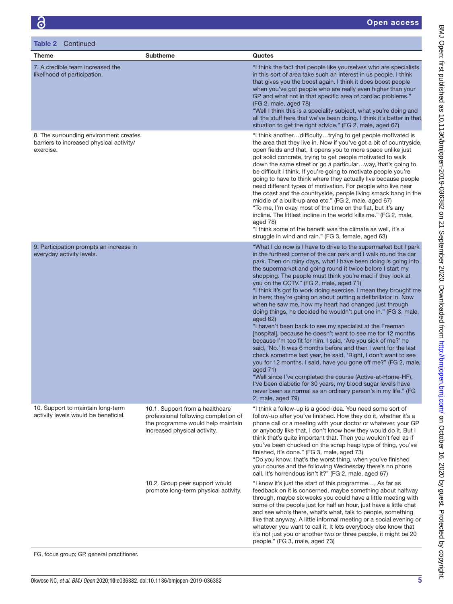| <b>Theme</b><br><b>Subtheme</b><br>Quotes<br>7. A credible team increased the<br>likelihood of participation.<br>in this sort of area take such an interest in us people. I think<br>that gives you the boost again. I think it does boost people<br>GP and what not in that specific area of cardiac problems."<br>(FG 2, male, aged 78)<br>situation to get the right advice." (FG 2, male, aged 67)<br>8. The surrounding environment creates<br>barriers to increased physical activity/<br>open fields and that, it opens you to more space unlike just<br>exercise.<br>got solid concrete, trying to get people motivated to walk<br>be difficult I think. If you're going to motivate people you're<br>need different types of motivation. For people who live near<br>middle of a built-up area etc." (FG 2, male, aged 67)<br>"To me, I'm okay most of the time on the flat, but it's any<br>incline. The littlest incline in the world kills me." (FG 2, male,<br>aged 78)<br>"I think some of the benefit was the climate as well, it's a<br>struggle in wind and rain." (FG 3, female, aged 63)<br>9. Participation prompts an increase in<br>everyday activity levels.<br>the supermarket and going round it twice before I start my<br>shopping. The people must think you're mad if they look at<br>you on the CCTV." (FG 2, male, aged 71)<br>in here; they're going on about putting a defibrillator in. Now<br>when he saw me, how my heart had changed just through<br>aged $62$ )<br>"I haven't been back to see my specialist at the Freeman<br>because I'm too fit for him. I said, 'Are you sick of me?' he | Continued<br>Table 2 |  |                                                                                                                                                                                                                                                                                                                                                                                                                                                                                                                                                                                                                                                                                   |  |  |
|------------------------------------------------------------------------------------------------------------------------------------------------------------------------------------------------------------------------------------------------------------------------------------------------------------------------------------------------------------------------------------------------------------------------------------------------------------------------------------------------------------------------------------------------------------------------------------------------------------------------------------------------------------------------------------------------------------------------------------------------------------------------------------------------------------------------------------------------------------------------------------------------------------------------------------------------------------------------------------------------------------------------------------------------------------------------------------------------------------------------------------------------------------------------------------------------------------------------------------------------------------------------------------------------------------------------------------------------------------------------------------------------------------------------------------------------------------------------------------------------------------------------------------------------------------------------------------------------------------------------------------|----------------------|--|-----------------------------------------------------------------------------------------------------------------------------------------------------------------------------------------------------------------------------------------------------------------------------------------------------------------------------------------------------------------------------------------------------------------------------------------------------------------------------------------------------------------------------------------------------------------------------------------------------------------------------------------------------------------------------------|--|--|
|                                                                                                                                                                                                                                                                                                                                                                                                                                                                                                                                                                                                                                                                                                                                                                                                                                                                                                                                                                                                                                                                                                                                                                                                                                                                                                                                                                                                                                                                                                                                                                                                                                    |                      |  |                                                                                                                                                                                                                                                                                                                                                                                                                                                                                                                                                                                                                                                                                   |  |  |
|                                                                                                                                                                                                                                                                                                                                                                                                                                                                                                                                                                                                                                                                                                                                                                                                                                                                                                                                                                                                                                                                                                                                                                                                                                                                                                                                                                                                                                                                                                                                                                                                                                    |                      |  | "I think the fact that people like yourselves who are specialists<br>when you've got people who are really even higher than your<br>"Well I think this is a speciality subject, what you're doing and<br>all the stuff here that we've been doing. I think it's better in that                                                                                                                                                                                                                                                                                                                                                                                                    |  |  |
|                                                                                                                                                                                                                                                                                                                                                                                                                                                                                                                                                                                                                                                                                                                                                                                                                                                                                                                                                                                                                                                                                                                                                                                                                                                                                                                                                                                                                                                                                                                                                                                                                                    |                      |  | "I think anotherdifficultytrying to get people motivated is<br>the area that they live in. Now if you've got a bit of countryside,<br>down the same street or go a particularway, that's going to<br>going to have to think where they actually live because people<br>the coast and the countryside, people living smack bang in the                                                                                                                                                                                                                                                                                                                                             |  |  |
| aged $71$ )<br>"Well since I've completed the course (Active-at-Home-HF),<br>I've been diabetic for 30 years, my blood sugar levels have<br>2, male, aged 79)                                                                                                                                                                                                                                                                                                                                                                                                                                                                                                                                                                                                                                                                                                                                                                                                                                                                                                                                                                                                                                                                                                                                                                                                                                                                                                                                                                                                                                                                      |                      |  | "What I do now is I have to drive to the supermarket but I park<br>in the furthest corner of the car park and I walk round the car<br>park. Then on rainy days, what I have been doing is going into<br>"I think it's got to work doing exercise. I mean they brought me<br>doing things, he decided he wouldn't put one in." (FG 3, male,<br>[hospital], because he doesn't want to see me for 12 months<br>said, 'No.' It was 6 months before and then I went for the last<br>check sometime last year, he said, 'Right, I don't want to see<br>you for 12 months. I said, have you gone off me?" (FG 2, male,<br>never been as normal as an ordinary person's in my life." (FG |  |  |
| 10. Support to maintain long-term<br>"I think a follow-up is a good idea. You need some sort of<br>10.1. Support from a healthcare<br>activity levels would be beneficial.<br>professional following completion of<br>the programme would help maintain<br>increased physical activity.<br>finished, it's done." (FG 3, male, aged 73)<br>"Do you know, that's the worst thing, when you've finished<br>your course and the following Wednesday there's no phone<br>call. It's horrendous isn't it?" (FG 2, male, aged 67)                                                                                                                                                                                                                                                                                                                                                                                                                                                                                                                                                                                                                                                                                                                                                                                                                                                                                                                                                                                                                                                                                                         |                      |  | follow-up after you've finished. How they do it, whether it's a<br>phone call or a meeting with your doctor or whatever, your GP<br>or anybody like that, I don't know how they would do it. But I<br>think that's quite important that. Then you wouldn't feel as if<br>you've been chucked on the scrap heap type of thing, you've                                                                                                                                                                                                                                                                                                                                              |  |  |
| "I know it's just the start of this programme, As far as<br>10.2. Group peer support would<br>promote long-term physical activity.<br>and see who's there, what's what, talk to people, something<br>people." (FG 3, male, aged 73)<br>FG, focus group; GP, general practitioner.                                                                                                                                                                                                                                                                                                                                                                                                                                                                                                                                                                                                                                                                                                                                                                                                                                                                                                                                                                                                                                                                                                                                                                                                                                                                                                                                                  |                      |  | feedback on it is concerned, maybe something about halfway<br>through, maybe six weeks you could have a little meeting with<br>some of the people just for half an hour, just have a little chat<br>like that anyway. A little informal meeting or a social evening or<br>whatever you want to call it. It lets everybody else know that<br>it's not just you or another two or three people, it might be 20                                                                                                                                                                                                                                                                      |  |  |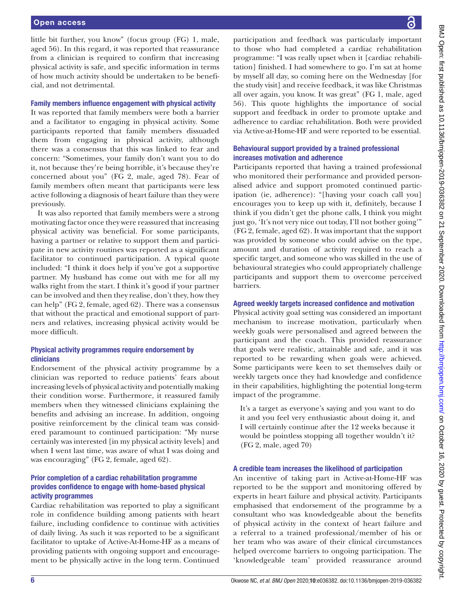little bit further, you know" (focus group (FG) 1, male, aged 56). In this regard, it was reported that reassurance from a clinician is required to confirm that increasing physical activity is safe, and specific information in terms of how much activity should be undertaken to be beneficial, and not detrimental.

#### Family members influence engagement with physical activity

It was reported that family members were both a barrier and a facilitator to engaging in physical activity. Some participants reported that family members dissuaded them from engaging in physical activity, although there was a consensus that this was linked to fear and concern: "Sometimes, your family don't want you to do it, not because they're being horrible, it's because they're concerned about you" (FG 2, male, aged 78). Fear of family members often meant that participants were less active following a diagnosis of heart failure than they were previously.

It was also reported that family members were a strong motivating factor once they were reassured that increasing physical activity was beneficial. For some participants, having a partner or relative to support them and participate in new activity routines was reported as a significant facilitator to continued participation. A typical quote included: "I think it does help if you've got a supportive partner. My husband has come out with me for all my walks right from the start. I think it's good if your partner can be involved and then they realise, don't they, how they can help" (FG 2, female, aged 62). There was a consensus that without the practical and emotional support of partners and relatives, increasing physical activity would be more difficult.

#### Physical activity programmes require endorsement by clinicians

Endorsement of the physical activity programme by a clinician was reported to reduce patients' fears about increasing levels of physical activity and potentially making their condition worse. Furthermore, it reassured family members when they witnessed clinicians explaining the benefits and advising an increase. In addition, ongoing positive reinforcement by the clinical team was considered paramount to continued participation: "My nurse certainly was interested [in my physical activity levels] and when I went last time, was aware of what I was doing and was encouraging" (FG 2, female, aged 62).

### Prior completion of a cardiac rehabilitation programme provides confidence to engage with home-based physical activity programmes

Cardiac rehabilitation was reported to play a significant role in confidence building among patients with heart failure, including confidence to continue with activities of daily living. As such it was reported to be a significant facilitator to uptake of Active-At-Home-HF as a means of providing patients with ongoing support and encouragement to be physically active in the long term. Continued

participation and feedback was particularly important to those who had completed a cardiac rehabilitation programme: "I was really upset when it [cardiac rehabilitation] finished. I had somewhere to go. I'm sat at home by myself all day, so coming here on the Wednesday [for the study visit] and receive feedback, it was like Christmas all over again, you know. It was great" (FG 1, male, aged 56). This quote highlights the importance of social support and feedback in order to promote uptake and adherence to cardiac rehabilitation. Both were provided via Active-at-Home-HF and were reported to be essential.

## Behavioural support provided by a trained professional increases motivation and adherence

Participants reported that having a trained professional who monitored their performance and provided personalised advice and support promoted continued participation (ie, adherence): "[having your coach call you] encourages you to keep up with it, definitely, because I think if you didn't get the phone calls, I think you might just go, 'It's not very nice out today, I'll not bother going'" (FG 2, female, aged 62). It was important that the support was provided by someone who could advise on the type, amount and duration of activity required to reach a specific target, and someone who was skilled in the use of behavioural strategies who could appropriately challenge participants and support them to overcome perceived barriers.

#### Agreed weekly targets increased confidence and motivation

Physical activity goal setting was considered an important mechanism to increase motivation, particularly when weekly goals were personalised and agreed between the participant and the coach. This provided reassurance that goals were realistic, attainable and safe, and it was reported to be rewarding when goals were achieved. Some participants were keen to set themselves daily or weekly targets once they had knowledge and confidence in their capabilities, highlighting the potential long-term impact of the programme.

It's a target as everyone's saying and you want to do it and you feel very enthusiastic about doing it, and I will certainly continue after the 12 weeks because it would be pointless stopping all together wouldn't it? (FG 2, male, aged 70)

#### A credible team increases the likelihood of participation

An incentive of taking part in Active-at-Home-HF was reported to be the support and monitoring offered by experts in heart failure and physical activity. Participants emphasised that endorsement of the programme by a consultant who was knowledgeable about the benefits of physical activity in the context of heart failure and a referral to a trained professional/member of his or her team who was aware of their clinical circumstances helped overcome barriers to ongoing participation. The 'knowledgeable team' provided reassurance around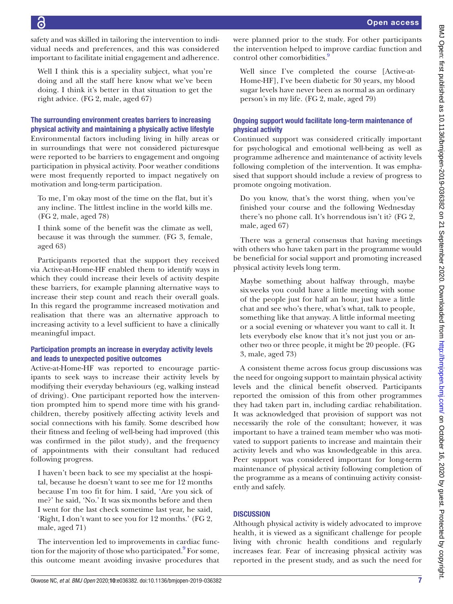safety and was skilled in tailoring the intervention to individual needs and preferences, and this was considered important to facilitate initial engagement and adherence.

Well I think this is a speciality subject, what you're doing and all the staff here know what we've been doing. I think it's better in that situation to get the right advice. (FG 2, male, aged 67)

# The surrounding environment creates barriers to increasing physical activity and maintaining a physically active lifestyle

Environmental factors including living in hilly areas or in surroundings that were not considered picturesque were reported to be barriers to engagement and ongoing participation in physical activity. Poor weather conditions were most frequently reported to impact negatively on motivation and long-term participation.

I think some of the benefit was the climate as well, because it was through the summer. (FG 3, female, aged 63)

Participants reported that the support they received via Active-at-Home-HF enabled them to identify ways in which they could increase their levels of activity despite these barriers, for example planning alternative ways to increase their step count and reach their overall goals. In this regard the programme increased motivation and realisation that there was an alternative approach to increasing activity to a level sufficient to have a clinically meaningful impact.

# Participation prompts an increase in everyday activity levels and leads to unexpected positive outcomes

Active-at-Home-HF was reported to encourage participants to seek ways to increase their activity levels by modifying their everyday behaviours (eg, walking instead of driving). One participant reported how the intervention prompted him to spend more time with his grandchildren, thereby positively affecting activity levels and social connections with his family. Some described how their fitness and feeling of well-being had improved (this was confirmed in the pilot study), and the frequency of appointments with their consultant had reduced following progress.

I haven't been back to see my specialist at the hospital, because he doesn't want to see me for 12 months because I'm too fit for him. I said, 'Are you sick of me?' he said, 'No.' It was sixmonths before and then I went for the last check sometime last year, he said, 'Right, I don't want to see you for 12 months.' (FG 2, male, aged 71)

The intervention led to improvements in cardiac function for the majority of those who participated.<sup>9</sup> For some, this outcome meant avoiding invasive procedures that

were planned prior to the study. For other participants the intervention helped to improve cardiac function and control other comorbidities.<sup>9</sup>

Well since I've completed the course [Active-at-Home-HF], I've been diabetic for 30 years, my blood sugar levels have never been as normal as an ordinary person's in my life. (FG 2, male, aged 79)

# Ongoing support would facilitate long-term maintenance of physical activity

Continued support was considered critically important for psychological and emotional well-being as well as programme adherence and maintenance of activity levels following completion of the intervention. It was emphasised that support should include a review of progress to promote ongoing motivation.

Do you know, that's the worst thing, when you've finished your course and the following Wednesday there's no phone call. It's horrendous isn't it? (FG 2, male, aged 67)

There was a general consensus that having meetings with others who have taken part in the programme would be beneficial for social support and promoting increased physical activity levels long term.

Maybe something about halfway through, maybe sixweeks you could have a little meeting with some of the people just for half an hour, just have a little chat and see who's there, what's what, talk to people, something like that anyway. A little informal meeting or a social evening or whatever you want to call it. It lets everybody else know that it's not just you or another two or three people, it might be 20 people. (FG 3, male, aged 73)

A consistent theme across focus group discussions was the need for ongoing support to maintain physical activity levels and the clinical benefit observed. Participants reported the omission of this from other programmes they had taken part in, including cardiac rehabilitation. It was acknowledged that provision of support was not necessarily the role of the consultant; however, it was important to have a trained team member who was motivated to support patients to increase and maintain their activity levels and who was knowledgeable in this area. Peer support was considered important for long-term maintenance of physical activity following completion of the programme as a means of continuing activity consistently and safely.

# **DISCUSSION**

Although physical activity is widely advocated to improve health, it is viewed as a significant challenge for people living with chronic health conditions and regularly increases fear. Fear of increasing physical activity was reported in the present study, and as such the need for

To me, I'm okay most of the time on the flat, but it's any incline. The littlest incline in the world kills me. (FG 2, male, aged 78)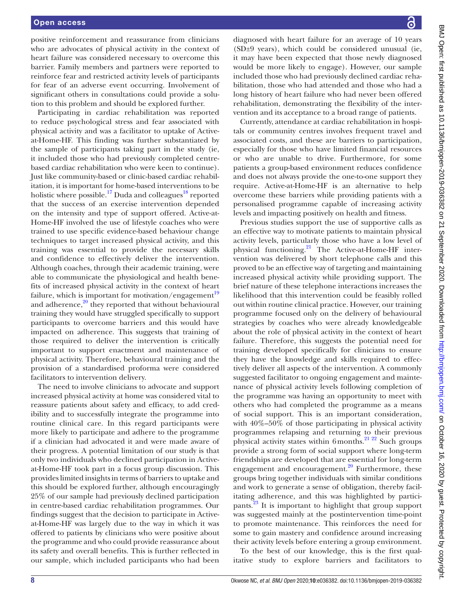positive reinforcement and reassurance from clinicians who are advocates of physical activity in the context of heart failure was considered necessary to overcome this barrier. Family members and partners were reported to reinforce fear and restricted activity levels of participants for fear of an adverse event occurring. Involvement of significant others in consultations could provide a solution to this problem and should be explored further.

Participating in cardiac rehabilitation was reported to reduce psychological stress and fear associated with physical activity and was a facilitator to uptake of Activeat-Home-HF. This finding was further substantiated by the sample of participants taking part in the study (ie, it included those who had previously completed centrebased cardiac rehabilitation who were keen to continue). Just like community-based or clinic-based cardiac rehabilitation, it is important for home-based interventions to be holistic where possible.<sup>17</sup> Duda and colleagues<sup>18</sup> reported that the success of an exercise intervention depended on the intensity and type of support offered. Active-at-Home-HF involved the use of lifestyle coaches who were trained to use specific evidence-based behaviour change techniques to target increased physical activity, and this training was essential to provide the necessary skills and confidence to effectively deliver the intervention. Although coaches, through their academic training, were able to communicate the physiological and health benefits of increased physical activity in the context of heart failure, which is important for motivation/engagement<sup>19</sup> and adherence, $20$  they reported that without behavioural training they would have struggled specifically to support participants to overcome barriers and this would have impacted on adherence. This suggests that training of those required to deliver the intervention is critically important to support enactment and maintenance of physical activity. Therefore, behavioural training and the provision of a standardised proforma were considered facilitators to intervention delivery.

The need to involve clinicians to advocate and support increased physical activity at home was considered vital to reassure patients about safety and efficacy, to add credibility and to successfully integrate the programme into routine clinical care. In this regard participants were more likely to participate and adhere to the programme if a clinician had advocated it and were made aware of their progress. A potential limitation of our study is that only two individuals who declined participation in Activeat-Home-HF took part in a focus group discussion. This provides limited insights in terms of barriers to uptake and this should be explored further, although encouragingly 25% of our sample had previously declined participation in centre-based cardiac rehabilitation programmes. Our findings suggest that the decision to participate in Activeat-Home-HF was largely due to the way in which it was offered to patients by clinicians who were positive about the programme and who could provide reassurance about its safety and overall benefits. This is further reflected in our sample, which included participants who had been

diagnosed with heart failure for an average of 10 years (SD±9 years), which could be considered unusual (ie, it may have been expected that those newly diagnosed would be more likely to engage). However, our sample included those who had previously declined cardiac rehabilitation, those who had attended and those who had a long history of heart failure who had never been offered rehabilitation, demonstrating the flexibility of the intervention and its acceptance to a broad range of patients. Currently, attendance at cardiac rehabilitation in hospitals or community centres involves frequent travel and associated costs, and these are barriers to participation, especially for those who have limited financial resources or who are unable to drive. Furthermore, for some patients a group-based environment reduces confidence and does not always provide the one-to-one support they require. Active-at-Home-HF is an alternative to help overcome these barriers while providing patients with a personalised programme capable of increasing activity levels and impacting positively on health and fitness. Previous studies support the use of supportive calls as an effective way to motivate patients to maintain physical activity levels, particularly those who have a low level of

physical functioning.[21](#page-9-13) The Active-at-Home-HF intervention was delivered by short telephone calls and this proved to be an effective way of targeting and maintaining increased physical activity while providing support. The brief nature of these telephone interactions increases the likelihood that this intervention could be feasibly rolled out within routine clinical practice. However, our training programme focused only on the delivery of behavioural strategies by coaches who were already knowledgeable about the role of physical activity in the context of heart failure. Therefore, this suggests the potential need for training developed specifically for clinicians to ensure they have the knowledge and skills required to effectively deliver all aspects of the intervention. A commonly suggested facilitator to ongoing engagement and maintenance of physical activity levels following completion of the programme was having an opportunity to meet with others who had completed the programme as a means of social support. This is an important consideration, with 40%–50% of those participating in physical activity programmes relapsing and returning to their previous physical activity states within 6 months.<sup>21 22</sup> Such groups provide a strong form of social support where long-term friendships are developed that are essential for long-term engagement and encouragement.<sup>20</sup> Furthermore, these groups bring together individuals with similar conditions and work to generate a sense of obligation, thereby facilitating adherence, and this was highlighted by participants.[23](#page-9-14) It is important to highlight that group support was suggested mainly at the postintervention time-point to promote maintenance. This reinforces the need for some to gain mastery and confidence around increasing their activity levels before entering a group environment.

To the best of our knowledge, this is the first qualitative study to explore barriers and facilitators to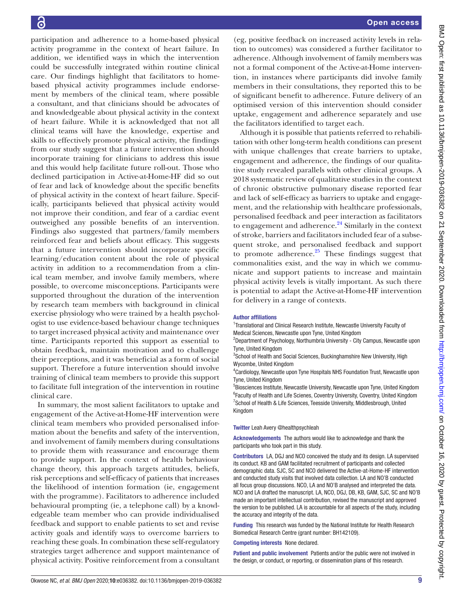participation and adherence to a home-based physical activity programme in the context of heart failure. In addition, we identified ways in which the intervention could be successfully integrated within routine clinical care. Our findings highlight that facilitators to homebased physical activity programmes include endorsement by members of the clinical team, where possible a consultant, and that clinicians should be advocates of and knowledgeable about physical activity in the context of heart failure. While it is acknowledged that not all clinical teams will have the knowledge, expertise and skills to effectively promote physical activity, the findings from our study suggest that a future intervention should incorporate training for clinicians to address this issue and this would help facilitate future roll-out. Those who declined participation in Active-at-Home-HF did so out of fear and lack of knowledge about the specific benefits of physical activity in the context of heart failure. Specifically, participants believed that physical activity would not improve their condition, and fear of a cardiac event outweighed any possible benefits of an intervention. Findings also suggested that partners/family members reinforced fear and beliefs about efficacy. This suggests that a future intervention should incorporate specific learning/education content about the role of physical activity in addition to a recommendation from a clinical team member, and involve family members, where possible, to overcome misconceptions. Participants were supported throughout the duration of the intervention by research team members with background in clinical exercise physiology who were trained by a health psychologist to use evidence-based behaviour change techniques to target increased physical activity and maintenance over time. Participants reported this support as essential to obtain feedback, maintain motivation and to challenge their perceptions, and it was beneficial as a form of social support. Therefore a future intervention should involve training of clinical team members to provide this support to facilitate full integration of the intervention in routine clinical care.

In summary, the most salient facilitators to uptake and engagement of the Active-at-Home-HF intervention were clinical team members who provided personalised information about the benefits and safety of the intervention, and involvement of family members during consultations to provide them with reassurance and encourage them to provide support. In the context of health behaviour change theory, this approach targets attitudes, beliefs, risk perceptions and self-efficacy of patients that increases the likelihood of intention formation (ie, engagement with the programme). Facilitators to adherence included behavioural prompting (ie, a telephone call) by a knowledgeable team member who can provide individualised feedback and support to enable patients to set and revise activity goals and identify ways to overcome barriers to reaching these goals. In combination these self-regulatory strategies target adherence and support maintenance of physical activity. Positive reinforcement from a consultant

(eg, positive feedback on increased activity levels in relation to outcomes) was considered a further facilitator to adherence. Although involvement of family members was not a formal component of the Active-at-Home intervention, in instances where participants did involve family members in their consultations, they reported this to be of significant benefit to adherence. Future delivery of an optimised version of this intervention should consider uptake, engagement and adherence separately and use the facilitators identified to target each.

Although it is possible that patients referred to rehabilitation with other long-term health conditions can present with unique challenges that create barriers to uptake, engagement and adherence, the findings of our qualitative study revealed parallels with other clinical groups. A 2018 systematic review of qualitative studies in the context of chronic obstructive pulmonary disease reported fear and lack of self-efficacy as barriers to uptake and engagement, and the relationship with healthcare professionals, personalised feedback and peer interaction as facilitators to engagement and adherence.<sup>[24](#page-9-15)</sup> Similarly in the context of stroke, barriers and facilitators included fear of a subsequent stroke, and personalised feedback and support to promote adherence. $25$  These findings suggest that commonalities exist, and the way in which we communicate and support patients to increase and maintain physical activity levels is vitally important. As such there is potential to adapt the Active-at-Home-HF intervention for delivery in a range of contexts.

#### Author affiliations

<sup>1</sup>Translational and Clinical Research Institute, Newcastle University Faculty of Medical Sciences, Newcastle upon Tyne, United Kingdom

<sup>2</sup>Department of Psychology, Northumbria University - City Campus, Newcastle upon Tyne, United Kingdom

<sup>3</sup>School of Health and Social Sciences, Buckinghamshire New University, High Wycombe, United Kingdom

4 Cardiology, Newcastle upon Tyne Hospitals NHS Foundation Trust, Newcastle upon Tyne, United Kingdom

<sup>5</sup>Biosciences Institute, Newcastle University, Newcastle upon Tyne, United Kingdom <sup>6</sup> Faculty of Health and Life Scienes, Coventry University, Coventry, United Kingdom <sup>7</sup>School of Health & Life Sciences, Teesside University, Middlesbrough, United Kingdom

#### Twitter Leah Avery [@healthpsychleah](https://twitter.com/healthpsychleah)

Acknowledgements The authors would like to acknowledge and thank the participants who took part in this study.

Contributors LA, DGJ and NCO conceived the study and its design. LA supervised its conduct. KB and GAM facilitated recruitment of participants and collected demographic data. SJC, SC and NCO delivered the Active-at-Home-HF intervention and conducted study visits that involved data collection. LA and NO'B conducted all focus group discussions. NCO, LA and NO'B analysed and interpreted the data. NCO and LA drafted the manuscript. LA, NCO, DGJ, DB, KB, GAM, SJC, SC and NO'B made an important intellectual contribution, revised the manuscript and approved the version to be published. LA is accountable for all aspects of the study, including the accuracy and integrity of the data.

Funding This research was funded by the National Institute for Health Research Biomedical Research Centre (grant number: BH142109).

Competing interests None declared.

Patient and public involvement Patients and/or the public were not involved in the design, or conduct, or reporting, or dissemination plans of this research.